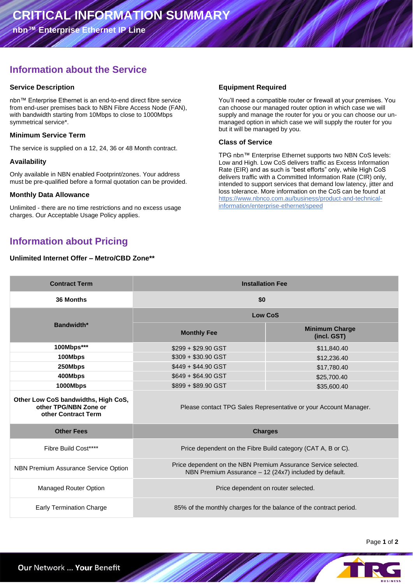**nbn™ Enterprise Ethernet IP Line**

# **Information about the Service**

#### **Service Description**

nbn™ Enterprise Ethernet is an end-to-end direct fibre service from end-user premises back to NBN Fibre Access Node (FAN), with bandwidth starting from 10Mbps to close to 1000Mbps symmetrical service\*.

### **Minimum Service Term**

The service is supplied on a 12, 24, 36 or 48 Month contract.

#### **Availability**

Only available in NBN enabled Footprint/zones. Your address must be pre-qualified before a formal quotation can be provided.

#### **Monthly Data Allowance**

Unlimited - there are no time restrictions and no excess usage charges. Our Acceptable Usage Policy applies.

# **Information about Pricing**

#### **Unlimited Internet Offer – Metro/CBD Zone\*\***

### **Equipment Required**

You'll need a compatible router or firewall at your premises. You can choose our managed router option in which case we will supply and manage the router for you or you can choose our unmanaged option in which case we will supply the router for you but it will be managed by you.

### **Class of Service**

TPG nbn™ Enterprise Ethernet supports two NBN CoS levels: Low and High. Low CoS delivers traffic as Excess Information Rate (EIR) and as such is "best efforts" only, while High CoS delivers traffic with a Committed Information Rate (CIR) only, intended to support services that demand low latency, jitter and loss tolerance. More information on the CoS can be found at https://www.nbnco.com.au/business/product-and-technicalinformation/enterprise-ethernet/speed

| <b>Contract Term</b>                                                                | <b>Installation Fee</b>                                                                                                  |                                      |  |
|-------------------------------------------------------------------------------------|--------------------------------------------------------------------------------------------------------------------------|--------------------------------------|--|
| 36 Months                                                                           | \$0                                                                                                                      |                                      |  |
| Bandwidth*                                                                          | <b>Low CoS</b>                                                                                                           |                                      |  |
|                                                                                     | <b>Monthly Fee</b>                                                                                                       | <b>Minimum Charge</b><br>(incl. GST) |  |
| 100Mbps***                                                                          | \$299 + \$29.90 GST                                                                                                      | \$11,840.40                          |  |
| 100Mbps                                                                             | $$309 + $30.90$ GST                                                                                                      | \$12,236.40                          |  |
| 250Mbps                                                                             | $$449 + $44.90$ GST                                                                                                      | \$17,780.40                          |  |
| 400Mbps                                                                             | $$649 + $64.90$ GST                                                                                                      | \$25,700.40                          |  |
| 1000Mbps                                                                            | \$899 + \$89.90 GST                                                                                                      | \$35,600.40                          |  |
| Other Low CoS bandwidths, High CoS,<br>other TPG/NBN Zone or<br>other Contract Term | Please contact TPG Sales Representative or your Account Manager.                                                         |                                      |  |
| <b>Other Fees</b>                                                                   | <b>Charges</b>                                                                                                           |                                      |  |
| Fibre Build Cost****                                                                | Price dependent on the Fibre Build category (CAT A, B or C).                                                             |                                      |  |
| <b>NBN Premium Assurance Service Option</b>                                         | Price dependent on the NBN Premium Assurance Service selected.<br>NBN Premium Assurance - 12 (24x7) included by default. |                                      |  |
| Managed Router Option                                                               | Price dependent on router selected.                                                                                      |                                      |  |
| <b>Early Termination Charge</b>                                                     | 85% of the monthly charges for the balance of the contract period.                                                       |                                      |  |

Page **1** of **2**